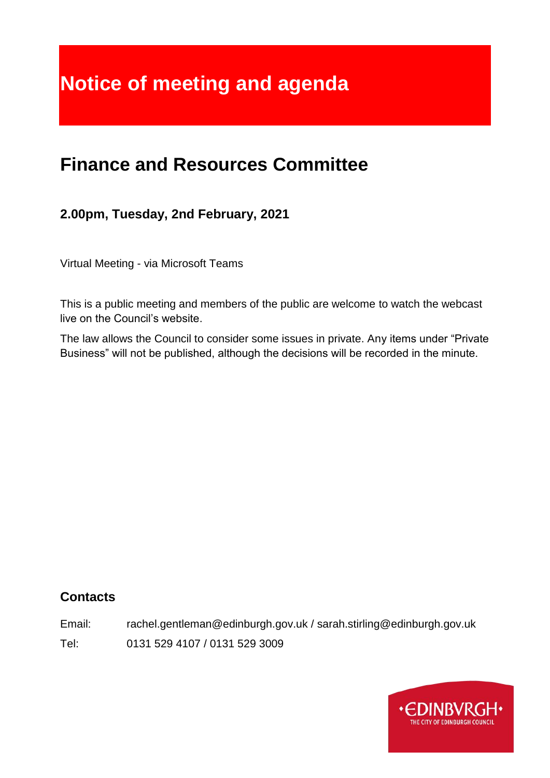# **Notice of meeting and agenda**

# **Finance and Resources Committee**

# **2.00pm, Tuesday, 2nd February, 2021**

Virtual Meeting - via Microsoft Teams

This is a public meeting and members of the public are welcome to watch the webcast live on the Council's website.

The law allows the Council to consider some issues in private. Any items under "Private Business" will not be published, although the decisions will be recorded in the minute.

# **Contacts**

Email: rachel.gentleman@edinburgh.gov.uk / sarah.stirling@edinburgh.gov.uk

Tel: 0131 529 4107 / 0131 529 3009

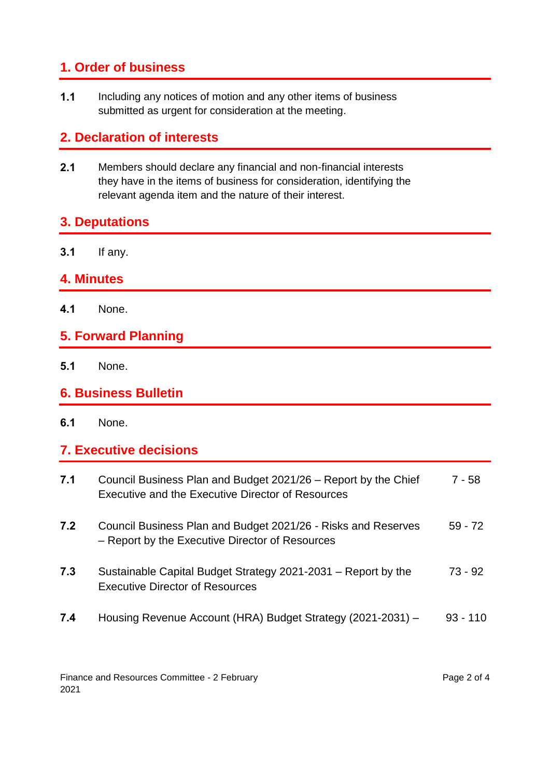# **1. Order of business**

**1.1** Including any notices of motion and any other items of business submitted as urgent for consideration at the meeting.

# **2. Declaration of interests**

**2.1** Members should declare any financial and non-financial interests they have in the items of business for consideration, identifying the relevant agenda item and the nature of their interest.

## **3. Deputations**

**3.1** If any.

### **4. Minutes**

**4.1** None.

# **5. Forward Planning**

- **5.1** None.
- **6. Business Bulletin**
- **6.1** None.

### **7. Executive decisions**

| 7.1 | Council Business Plan and Budget 2021/26 – Report by the Chief<br>Executive and the Executive Director of Resources | 7 - 58     |
|-----|---------------------------------------------------------------------------------------------------------------------|------------|
| 7.2 | Council Business Plan and Budget 2021/26 - Risks and Reserves<br>- Report by the Executive Director of Resources    | $59 - 72$  |
| 7.3 | Sustainable Capital Budget Strategy 2021-2031 – Report by the<br><b>Executive Director of Resources</b>             | $73 - 92$  |
| 7.4 | Housing Revenue Account (HRA) Budget Strategy (2021-2031) -                                                         | $93 - 110$ |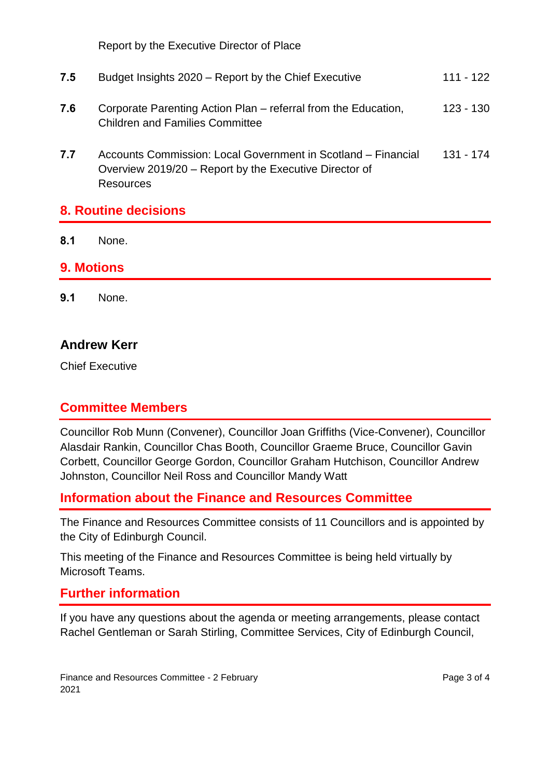Report by the Executive Director of Place

|     | <b>8. Routine decisions</b>                                                                                                                 |             |
|-----|---------------------------------------------------------------------------------------------------------------------------------------------|-------------|
| 7.7 | Accounts Commission: Local Government in Scotland – Financial<br>Overview 2019/20 – Report by the Executive Director of<br><b>Resources</b> | 131 - 174   |
| 7.6 | Corporate Parenting Action Plan – referral from the Education,<br><b>Children and Families Committee</b>                                    | $123 - 130$ |
| 7.5 | Budget Insights 2020 – Report by the Chief Executive                                                                                        | $111 - 122$ |

**8.1** None.

#### **9. Motions**

**9.1** None.

#### **Andrew Kerr**

Chief Executive

#### **Committee Members**

Councillor Rob Munn (Convener), Councillor Joan Griffiths (Vice-Convener), Councillor Alasdair Rankin, Councillor Chas Booth, Councillor Graeme Bruce, Councillor Gavin Corbett, Councillor George Gordon, Councillor Graham Hutchison, Councillor Andrew Johnston, Councillor Neil Ross and Councillor Mandy Watt

### **Information about the Finance and Resources Committee**

The Finance and Resources Committee consists of 11 Councillors and is appointed by the City of Edinburgh Council.

This meeting of the Finance and Resources Committee is being held virtually by Microsoft Teams.

#### **Further information**

If you have any questions about the agenda or meeting arrangements, please contact Rachel Gentleman or Sarah Stirling, Committee Services, City of Edinburgh Council,